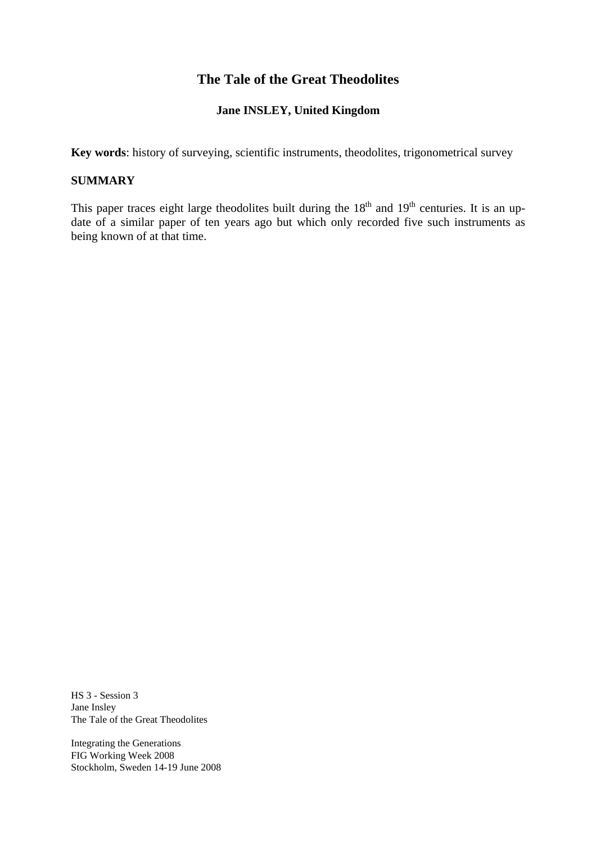# **The Tale of the Great Theodolites**

#### **Jane INSLEY, United Kingdom**

**Key words**: history of surveying, scientific instruments, theodolites, trigonometrical survey

#### **SUMMARY**

This paper traces eight large theodolites built during the  $18<sup>th</sup>$  and  $19<sup>th</sup>$  centuries. It is an update of a similar paper of ten years ago but which only recorded five such instruments as being known of at that time.

HS 3 - Session 3 Jane Insley The Tale of the Great Theodolites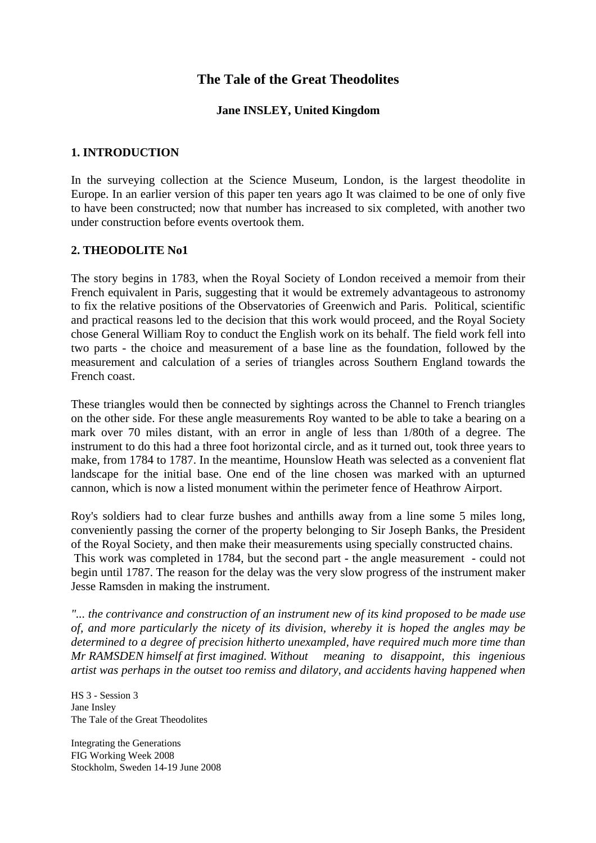# **The Tale of the Great Theodolites**

### **Jane INSLEY, United Kingdom**

#### **1. INTRODUCTION**

In the surveying collection at the Science Museum, London, is the largest theodolite in Europe. In an earlier version of this paper ten years ago It was claimed to be one of only five to have been constructed; now that number has increased to six completed, with another two under construction before events overtook them.

#### **2. THEODOLITE No1**

The story begins in 1783, when the Royal Society of London received a memoir from their French equivalent in Paris, suggesting that it would be extremely advantageous to astronomy to fix the relative positions of the Observatories of Greenwich and Paris. Political, scientific and practical reasons led to the decision that this work would proceed, and the Royal Society chose General William Roy to conduct the English work on its behalf. The field work fell into two parts - the choice and measurement of a base line as the foundation, followed by the measurement and calculation of a series of triangles across Southern England towards the French coast.

These triangles would then be connected by sightings across the Channel to French triangles on the other side. For these angle measurements Roy wanted to be able to take a bearing on a mark over 70 miles distant, with an error in angle of less than 1/80th of a degree. The instrument to do this had a three foot horizontal circle, and as it turned out, took three years to make, from 1784 to 1787. In the meantime, Hounslow Heath was selected as a convenient flat landscape for the initial base. One end of the line chosen was marked with an upturned cannon, which is now a listed monument within the perimeter fence of Heathrow Airport.

Roy's soldiers had to clear furze bushes and anthills away from a line some 5 miles long, conveniently passing the corner of the property belonging to Sir Joseph Banks, the President of the Royal Society, and then make their measurements using specially constructed chains. This work was completed in 1784, but the second part - the angle measurement - could not begin until 1787. The reason for the delay was the very slow progress of the instrument maker Jesse Ramsden in making the instrument.

*"... the contrivance and construction of an instrument new of its kind proposed to be made use of, and more particularly the nicety of its division, whereby it is hoped the angles may be determined to a degree of precision hitherto unexampled, have required much more time than Mr RAMSDEN himself at first imagined. Without meaning to disappoint, this ingenious artist was perhaps in the outset too remiss and dilatory, and accidents having happened when* 

HS 3 - Session 3 Jane Insley The Tale of the Great Theodolites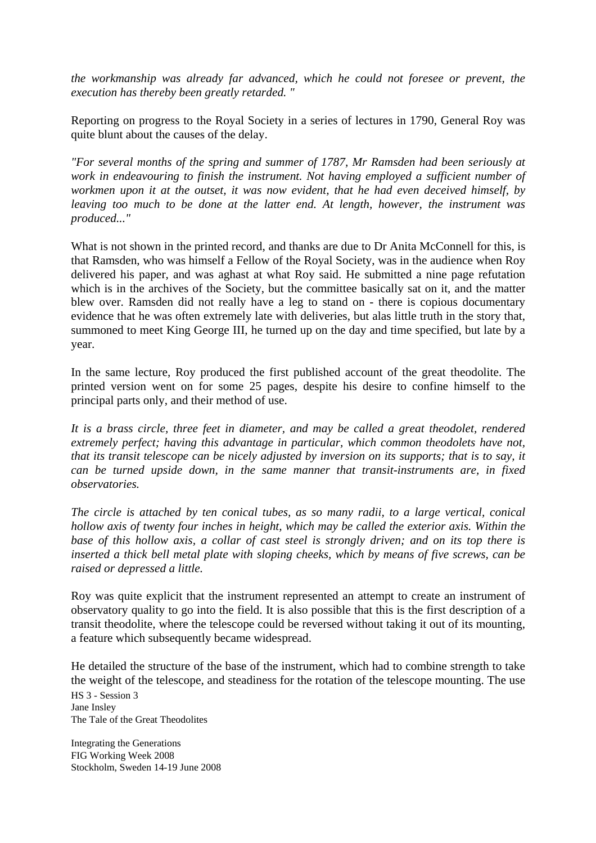*the workmanship was already far advanced, which he could not foresee or prevent, the execution has thereby been greatly retarded. "* 

Reporting on progress to the Royal Society in a series of lectures in 1790, General Roy was quite blunt about the causes of the delay.

*"For several months of the spring and summer of 1787, Mr Ramsden had been seriously at work in endeavouring to finish the instrument. Not having employed a sufficient number of workmen upon it at the outset, it was now evident, that he had even deceived himself, by leaving too much to be done at the latter end. At length, however, the instrument was produced..."* 

What is not shown in the printed record, and thanks are due to Dr Anita McConnell for this, is that Ramsden, who was himself a Fellow of the Royal Society, was in the audience when Roy delivered his paper, and was aghast at what Roy said. He submitted a nine page refutation which is in the archives of the Society, but the committee basically sat on it, and the matter blew over. Ramsden did not really have a leg to stand on - there is copious documentary evidence that he was often extremely late with deliveries, but alas little truth in the story that, summoned to meet King George III, he turned up on the day and time specified, but late by a year.

In the same lecture, Roy produced the first published account of the great theodolite. The printed version went on for some 25 pages, despite his desire to confine himself to the principal parts only, and their method of use.

*It is a brass circle, three feet in diameter, and may be called a great theodolet, rendered extremely perfect; having this advantage in particular, which common theodolets have not, that its transit telescope can be nicely adjusted by inversion on its supports; that is to say, it can be turned upside down, in the same manner that transit-instruments are, in fixed observatories.* 

*The circle is attached by ten conical tubes, as so many radii, to a large vertical, conical hollow axis of twenty four inches in height, which may be called the exterior axis. Within the base of this hollow axis, a collar of cast steel is strongly driven; and on its top there is inserted a thick bell metal plate with sloping cheeks, which by means of five screws, can be raised or depressed a little.* 

Roy was quite explicit that the instrument represented an attempt to create an instrument of observatory quality to go into the field. It is also possible that this is the first description of a transit theodolite, where the telescope could be reversed without taking it out of its mounting, a feature which subsequently became widespread.

He detailed the structure of the base of the instrument, which had to combine strength to take the weight of the telescope, and steadiness for the rotation of the telescope mounting. The use

HS 3 - Session 3 Jane Insley The Tale of the Great Theodolites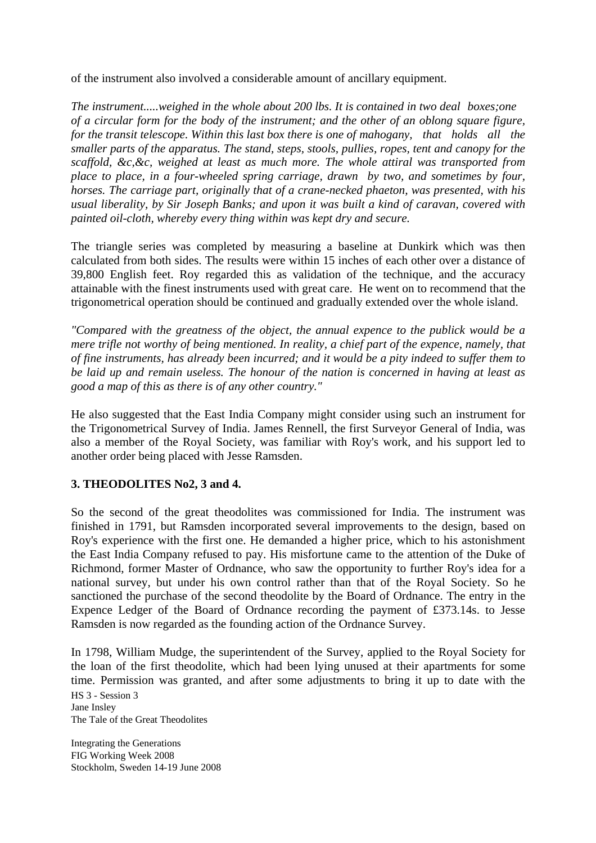of the instrument also involved a considerable amount of ancillary equipment.

*The instrument.....weighed in the whole about 200 lbs. It is contained in two deal boxes;one of a circular form for the body of the instrument; and the other of an oblong square figure, for the transit telescope. Within this last box there is one of mahogany, that holds all the smaller parts of the apparatus. The stand, steps, stools, pullies, ropes, tent and canopy for the scaffold, &c,&c, weighed at least as much more. The whole attiral was transported from place to place, in a four-wheeled spring carriage, drawn by two, and sometimes by four, horses. The carriage part, originally that of a crane-necked phaeton, was presented, with his usual liberality, by Sir Joseph Banks; and upon it was built a kind of caravan, covered with painted oil-cloth, whereby every thing within was kept dry and secure.* 

The triangle series was completed by measuring a baseline at Dunkirk which was then calculated from both sides. The results were within 15 inches of each other over a distance of 39,800 English feet. Roy regarded this as validation of the technique, and the accuracy attainable with the finest instruments used with great care. He went on to recommend that the trigonometrical operation should be continued and gradually extended over the whole island.

*"Compared with the greatness of the object, the annual expence to the publick would be a mere trifle not worthy of being mentioned. In reality, a chief part of the expence, namely, that of fine instruments, has already been incurred; and it would be a pity indeed to suffer them to be laid up and remain useless. The honour of the nation is concerned in having at least as good a map of this as there is of any other country."* 

He also suggested that the East India Company might consider using such an instrument for the Trigonometrical Survey of India. James Rennell, the first Surveyor General of India, was also a member of the Royal Society, was familiar with Roy's work, and his support led to another order being placed with Jesse Ramsden.

## **3. THEODOLITES No2, 3 and 4.**

So the second of the great theodolites was commissioned for India. The instrument was finished in 1791, but Ramsden incorporated several improvements to the design, based on Roy's experience with the first one. He demanded a higher price, which to his astonishment the East India Company refused to pay. His misfortune came to the attention of the Duke of Richmond, former Master of Ordnance, who saw the opportunity to further Roy's idea for a national survey, but under his own control rather than that of the Royal Society. So he sanctioned the purchase of the second theodolite by the Board of Ordnance. The entry in the Expence Ledger of the Board of Ordnance recording the payment of £373.14s. to Jesse Ramsden is now regarded as the founding action of the Ordnance Survey.

In 1798, William Mudge, the superintendent of the Survey, applied to the Royal Society for the loan of the first theodolite, which had been lying unused at their apartments for some time. Permission was granted, and after some adjustments to bring it up to date with the

HS 3 - Session 3 Jane Insley The Tale of the Great Theodolites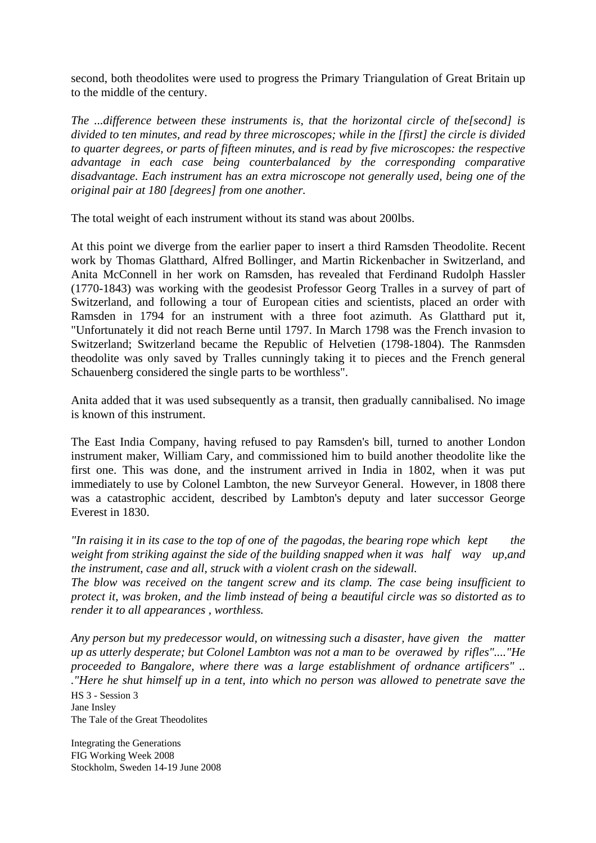second, both theodolites were used to progress the Primary Triangulation of Great Britain up to the middle of the century.

*The ...difference between these instruments is, that the horizontal circle of the[second] is divided to ten minutes, and read by three microscopes; while in the [first] the circle is divided to quarter degrees, or parts of fifteen minutes, and is read by five microscopes: the respective advantage in each case being counterbalanced by the corresponding comparative disadvantage. Each instrument has an extra microscope not generally used, being one of the original pair at 180 [degrees] from one another.* 

The total weight of each instrument without its stand was about 200lbs.

At this point we diverge from the earlier paper to insert a third Ramsden Theodolite. Recent work by Thomas Glatthard, Alfred Bollinger, and Martin Rickenbacher in Switzerland, and Anita McConnell in her work on Ramsden, has revealed that Ferdinand Rudolph Hassler (1770-1843) was working with the geodesist Professor Georg Tralles in a survey of part of Switzerland, and following a tour of European cities and scientists, placed an order with Ramsden in 1794 for an instrument with a three foot azimuth. As Glatthard put it, "Unfortunately it did not reach Berne until 1797. In March 1798 was the French invasion to Switzerland; Switzerland became the Republic of Helvetien (1798-1804). The Ranmsden theodolite was only saved by Tralles cunningly taking it to pieces and the French general Schauenberg considered the single parts to be worthless".

Anita added that it was used subsequently as a transit, then gradually cannibalised. No image is known of this instrument.

The East India Company, having refused to pay Ramsden's bill, turned to another London instrument maker, William Cary, and commissioned him to build another theodolite like the first one. This was done, and the instrument arrived in India in 1802, when it was put immediately to use by Colonel Lambton, the new Surveyor General. However, in 1808 there was a catastrophic accident, described by Lambton's deputy and later successor George Everest in 1830.

*"In raising it in its case to the top of one of the pagodas, the bearing rope which kept the weight from striking against the side of the building snapped when it was half way up,and the instrument, case and all, struck with a violent crash on the sidewall.* 

*The blow was received on the tangent screw and its clamp. The case being insufficient to protect it, was broken, and the limb instead of being a beautiful circle was so distorted as to render it to all appearances , worthless.* 

*Any person but my predecessor would, on witnessing such a disaster, have given the matter up as utterly desperate; but Colonel Lambton was not a man to be overawed by rifles"...."He proceeded to Bangalore, where there was a large establishment of ordnance artificers" .. ."Here he shut himself up in a tent, into which no person was allowed to penetrate save the* 

HS 3 - Session 3 Jane Insley The Tale of the Great Theodolites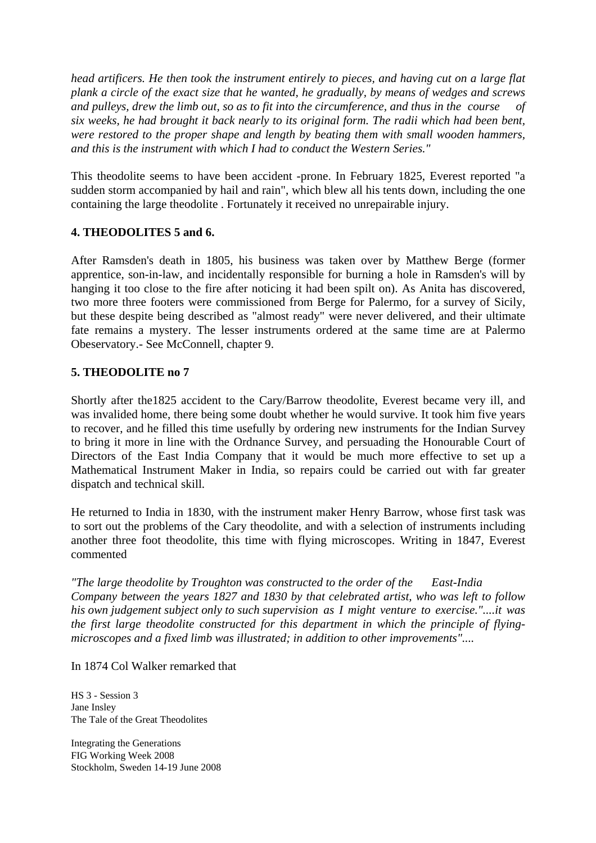*head artificers. He then took the instrument entirely to pieces, and having cut on a large flat plank a circle of the exact size that he wanted, he gradually, by means of wedges and screws and pulleys, drew the limb out, so as to fit into the circumference, and thus in the course of six weeks, he had brought it back nearly to its original form. The radii which had been bent, were restored to the proper shape and length by beating them with small wooden hammers, and this is the instrument with which I had to conduct the Western Series."* 

This theodolite seems to have been accident -prone. In February 1825, Everest reported "a sudden storm accompanied by hail and rain", which blew all his tents down, including the one containing the large theodolite . Fortunately it received no unrepairable injury.

## **4. THEODOLITES 5 and 6.**

After Ramsden's death in 1805, his business was taken over by Matthew Berge (former apprentice, son-in-law, and incidentally responsible for burning a hole in Ramsden's will by hanging it too close to the fire after noticing it had been spilt on). As Anita has discovered, two more three footers were commissioned from Berge for Palermo, for a survey of Sicily, but these despite being described as "almost ready" were never delivered, and their ultimate fate remains a mystery. The lesser instruments ordered at the same time are at Palermo Obeservatory.- See McConnell, chapter 9.

## **5. THEODOLITE no 7**

Shortly after the1825 accident to the Cary/Barrow theodolite, Everest became very ill, and was invalided home, there being some doubt whether he would survive. It took him five years to recover, and he filled this time usefully by ordering new instruments for the Indian Survey to bring it more in line with the Ordnance Survey, and persuading the Honourable Court of Directors of the East India Company that it would be much more effective to set up a Mathematical Instrument Maker in India, so repairs could be carried out with far greater dispatch and technical skill.

He returned to India in 1830, with the instrument maker Henry Barrow, whose first task was to sort out the problems of the Cary theodolite, and with a selection of instruments including another three foot theodolite, this time with flying microscopes. Writing in 1847, Everest commented

*"The large theodolite by Troughton was constructed to the order of the East-India Company between the years 1827 and 1830 by that celebrated artist, who was left to follow his own judgement subject only to such supervision as I might venture to exercise."....it was the first large theodolite constructed for this department in which the principle of flyingmicroscopes and a fixed limb was illustrated; in addition to other improvements"....* 

In 1874 Col Walker remarked that

HS 3 - Session 3 Jane Insley The Tale of the Great Theodolites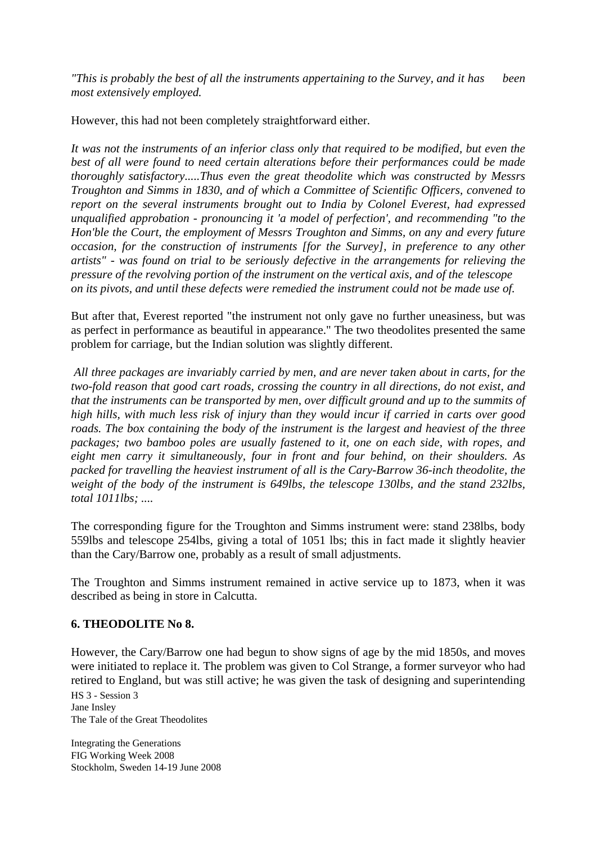*"This is probably the best of all the instruments appertaining to the Survey, and it has been most extensively employed.* 

However, this had not been completely straightforward either.

*It was not the instruments of an inferior class only that required to be modified, but even the best of all were found to need certain alterations before their performances could be made thoroughly satisfactory.....Thus even the great theodolite which was constructed by Messrs Troughton and Simms in 1830, and of which a Committee of Scientific Officers, convened to report on the several instruments brought out to India by Colonel Everest, had expressed unqualified approbation - pronouncing it 'a model of perfection', and recommending "to the Hon'ble the Court, the employment of Messrs Troughton and Simms, on any and every future occasion, for the construction of instruments [for the Survey], in preference to any other artists" - was found on trial to be seriously defective in the arrangements for relieving the pressure of the revolving portion of the instrument on the vertical axis, and of the telescope on its pivots, and until these defects were remedied the instrument could not be made use of.* 

But after that, Everest reported "the instrument not only gave no further uneasiness, but was as perfect in performance as beautiful in appearance." The two theodolites presented the same problem for carriage, but the Indian solution was slightly different.

 *All three packages are invariably carried by men, and are never taken about in carts, for the two-fold reason that good cart roads, crossing the country in all directions, do not exist, and that the instruments can be transported by men, over difficult ground and up to the summits of high hills, with much less risk of injury than they would incur if carried in carts over good roads. The box containing the body of the instrument is the largest and heaviest of the three packages; two bamboo poles are usually fastened to it, one on each side, with ropes, and eight men carry it simultaneously, four in front and four behind, on their shoulders. As packed for travelling the heaviest instrument of all is the Cary-Barrow 36-inch theodolite, the weight of the body of the instrument is 649lbs, the telescope 130lbs, and the stand 232lbs, total 1011lbs; ....* 

The corresponding figure for the Troughton and Simms instrument were: stand 238lbs, body 559lbs and telescope 254lbs, giving a total of 1051 lbs; this in fact made it slightly heavier than the Cary/Barrow one, probably as a result of small adjustments.

The Troughton and Simms instrument remained in active service up to 1873, when it was described as being in store in Calcutta.

#### **6. THEODOLITE No 8.**

However, the Cary/Barrow one had begun to show signs of age by the mid 1850s, and moves were initiated to replace it. The problem was given to Col Strange, a former surveyor who had retired to England, but was still active; he was given the task of designing and superintending

HS 3 - Session 3 Jane Insley The Tale of the Great Theodolites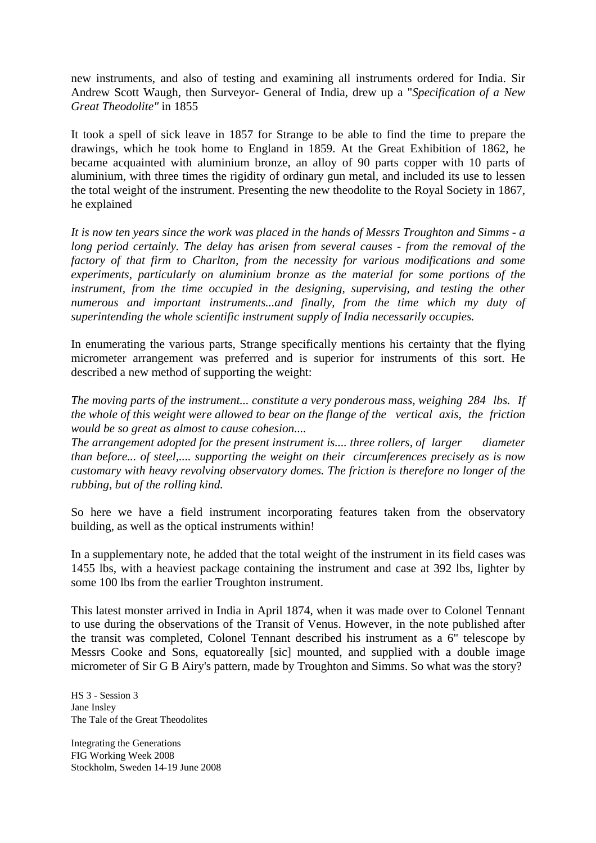new instruments, and also of testing and examining all instruments ordered for India. Sir Andrew Scott Waugh, then Surveyor- General of India, drew up a "*Specification of a New Great Theodolite"* in 1855

It took a spell of sick leave in 1857 for Strange to be able to find the time to prepare the drawings, which he took home to England in 1859. At the Great Exhibition of 1862, he became acquainted with aluminium bronze, an alloy of 90 parts copper with 10 parts of aluminium, with three times the rigidity of ordinary gun metal, and included its use to lessen the total weight of the instrument. Presenting the new theodolite to the Royal Society in 1867, he explained

*It is now ten years since the work was placed in the hands of Messrs Troughton and Simms - a long period certainly. The delay has arisen from several causes - from the removal of the factory of that firm to Charlton, from the necessity for various modifications and some experiments, particularly on aluminium bronze as the material for some portions of the instrument, from the time occupied in the designing, supervising, and testing the other numerous and important instruments...and finally, from the time which my duty of superintending the whole scientific instrument supply of India necessarily occupies.* 

In enumerating the various parts, Strange specifically mentions his certainty that the flying micrometer arrangement was preferred and is superior for instruments of this sort. He described a new method of supporting the weight:

*The moving parts of the instrument... constitute a very ponderous mass, weighing 284 lbs. If the whole of this weight were allowed to bear on the flange of the vertical axis, the friction would be so great as almost to cause cohesion....* 

*The arrangement adopted for the present instrument is.... three rollers, of larger diameter than before... of steel,.... supporting the weight on their circumferences precisely as is now customary with heavy revolving observatory domes. The friction is therefore no longer of the rubbing, but of the rolling kind.* 

So here we have a field instrument incorporating features taken from the observatory building, as well as the optical instruments within!

In a supplementary note, he added that the total weight of the instrument in its field cases was 1455 lbs, with a heaviest package containing the instrument and case at 392 lbs, lighter by some 100 lbs from the earlier Troughton instrument.

This latest monster arrived in India in April 1874, when it was made over to Colonel Tennant to use during the observations of the Transit of Venus. However, in the note published after the transit was completed, Colonel Tennant described his instrument as a 6" telescope by Messrs Cooke and Sons, equatoreally [sic] mounted, and supplied with a double image micrometer of Sir G B Airy's pattern, made by Troughton and Simms. So what was the story?

HS 3 - Session 3 Jane Insley The Tale of the Great Theodolites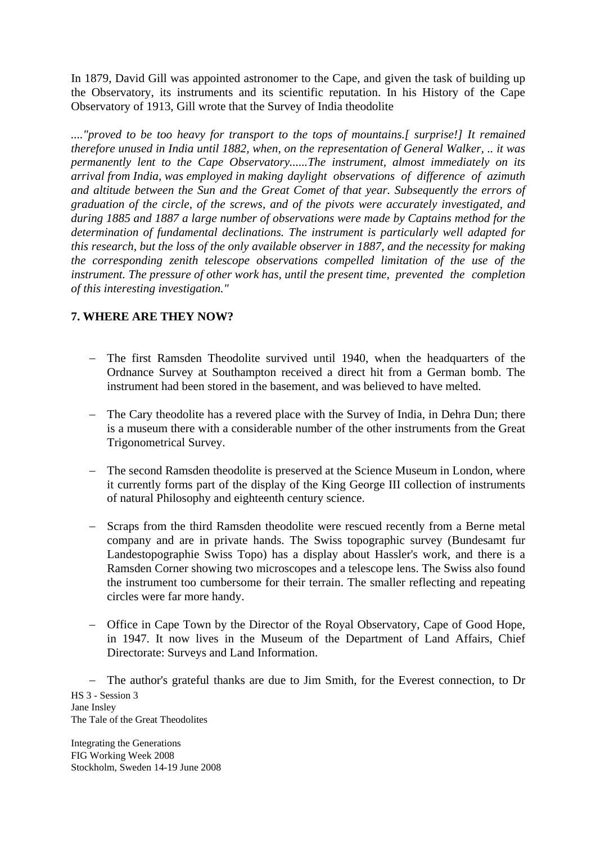In 1879, David Gill was appointed astronomer to the Cape, and given the task of building up the Observatory, its instruments and its scientific reputation. In his History of the Cape Observatory of 1913, Gill wrote that the Survey of India theodolite

*...."proved to be too heavy for transport to the tops of mountains.[ surprise!] It remained therefore unused in India until 1882, when, on the representation of General Walker, .. it was permanently lent to the Cape Observatory......The instrument, almost immediately on its arrival from India, was employed in making daylight observations of difference of azimuth and altitude between the Sun and the Great Comet of that year. Subsequently the errors of graduation of the circle, of the screws, and of the pivots were accurately investigated, and during 1885 and 1887 a large number of observations were made by Captains method for the determination of fundamental declinations. The instrument is particularly well adapted for this research, but the loss of the only available observer in 1887, and the necessity for making the corresponding zenith telescope observations compelled limitation of the use of the instrument. The pressure of other work has, until the present time, prevented the completion of this interesting investigation."* 

## **7. WHERE ARE THEY NOW?**

- − The first Ramsden Theodolite survived until 1940, when the headquarters of the Ordnance Survey at Southampton received a direct hit from a German bomb. The instrument had been stored in the basement, and was believed to have melted.
- − The Cary theodolite has a revered place with the Survey of India, in Dehra Dun; there is a museum there with a considerable number of the other instruments from the Great Trigonometrical Survey.
- The second Ramsden theodolite is preserved at the Science Museum in London, where it currently forms part of the display of the King George III collection of instruments of natural Philosophy and eighteenth century science.
- − Scraps from the third Ramsden theodolite were rescued recently from a Berne metal company and are in private hands. The Swiss topographic survey (Bundesamt fur Landestopographie Swiss Topo) has a display about Hassler's work, and there is a Ramsden Corner showing two microscopes and a telescope lens. The Swiss also found the instrument too cumbersome for their terrain. The smaller reflecting and repeating circles were far more handy.
- − Office in Cape Town by the Director of the Royal Observatory, Cape of Good Hope, in 1947. It now lives in the Museum of the Department of Land Affairs, Chief Directorate: Surveys and Land Information.

HS 3 - Session 3 Jane Insley The Tale of the Great Theodolites − The author's grateful thanks are due to Jim Smith, for the Everest connection, to Dr